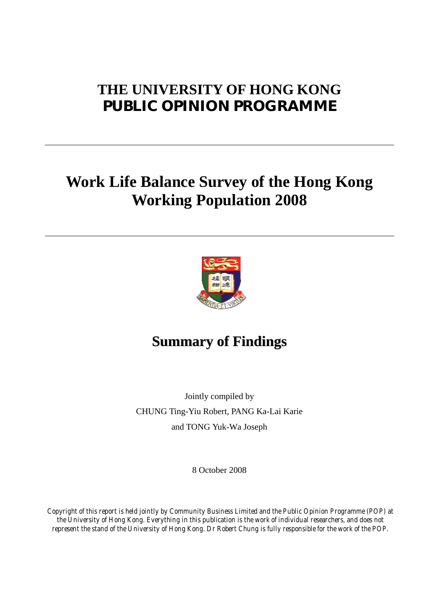# **THE UNIVERSITY OF HONG KONG PUBLIC OPINION PROGRAMME**

# **Work Life Balance Survey of the Hong Kong Working Population 2008**



# **Summary of Findings**

Jointly compiled by CHUNG Ting-Yiu Robert, PANG Ka-Lai Karie and TONG Yuk-Wa Joseph

8 October 2008

*Copyright of this report is held jointly by Community Business Limited and the Public Opinion Programme (POP) at the University of Hong Kong. Everything in this publication is the work of individual researchers, and does not represent the stand of the University of Hong Kong. Dr Robert Chung is fully responsible for the work of the POP.*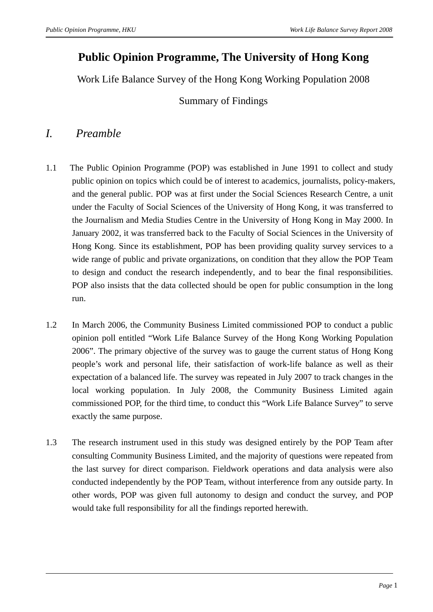# **Public Opinion Programme, The University of Hong Kong**

Work Life Balance Survey of the Hong Kong Working Population 2008

Summary of Findings

# *I. Preamble*

- 1.1 The Public Opinion Programme (POP) was established in June 1991 to collect and study public opinion on topics which could be of interest to academics, journalists, policy-makers, and the general public. POP was at first under the Social Sciences Research Centre, a unit under the Faculty of Social Sciences of the University of Hong Kong, it was transferred to the Journalism and Media Studies Centre in the University of Hong Kong in May 2000. In January 2002, it was transferred back to the Faculty of Social Sciences in the University of Hong Kong. Since its establishment, POP has been providing quality survey services to a wide range of public and private organizations, on condition that they allow the POP Team to design and conduct the research independently, and to bear the final responsibilities. POP also insists that the data collected should be open for public consumption in the long run.
- 1.2 In March 2006, the Community Business Limited commissioned POP to conduct a public opinion poll entitled "Work Life Balance Survey of the Hong Kong Working Population 2006". The primary objective of the survey was to gauge the current status of Hong Kong people's work and personal life, their satisfaction of work-life balance as well as their expectation of a balanced life. The survey was repeated in July 2007 to track changes in the local working population. In July 2008, the Community Business Limited again commissioned POP, for the third time, to conduct this "Work Life Balance Survey" to serve exactly the same purpose.
- 1.3 The research instrument used in this study was designed entirely by the POP Team after consulting Community Business Limited, and the majority of questions were repeated from the last survey for direct comparison. Fieldwork operations and data analysis were also conducted independently by the POP Team, without interference from any outside party. In other words, POP was given full autonomy to design and conduct the survey, and POP would take full responsibility for all the findings reported herewith.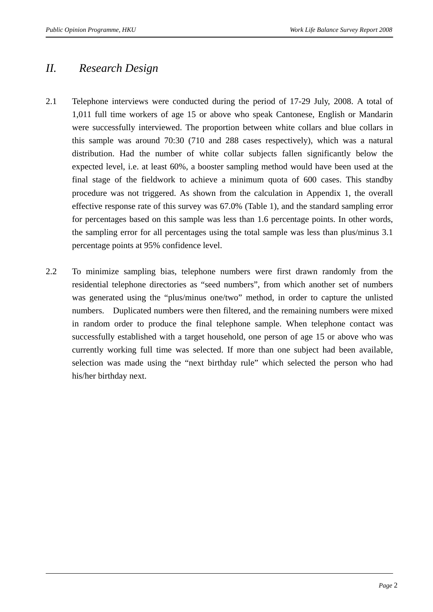# *II. Research Design*

- 2.1 Telephone interviews were conducted during the period of 17-29 July, 2008. A total of 1,011 full time workers of age 15 or above who speak Cantonese, English or Mandarin were successfully interviewed. The proportion between white collars and blue collars in this sample was around 70:30 (710 and 288 cases respectively), which was a natural distribution. Had the number of white collar subjects fallen significantly below the expected level, i.e. at least 60%, a booster sampling method would have been used at the final stage of the fieldwork to achieve a minimum quota of 600 cases. This standby procedure was not triggered. As shown from the calculation in Appendix 1, the overall effective response rate of this survey was 67.0% (Table 1), and the standard sampling error for percentages based on this sample was less than 1.6 percentage points. In other words, the sampling error for all percentages using the total sample was less than plus/minus 3.1 percentage points at 95% confidence level.
- 2.2 To minimize sampling bias, telephone numbers were first drawn randomly from the residential telephone directories as "seed numbers", from which another set of numbers was generated using the "plus/minus one/two" method, in order to capture the unlisted numbers. Duplicated numbers were then filtered, and the remaining numbers were mixed in random order to produce the final telephone sample. When telephone contact was successfully established with a target household, one person of age 15 or above who was currently working full time was selected. If more than one subject had been available, selection was made using the "next birthday rule" which selected the person who had his/her birthday next.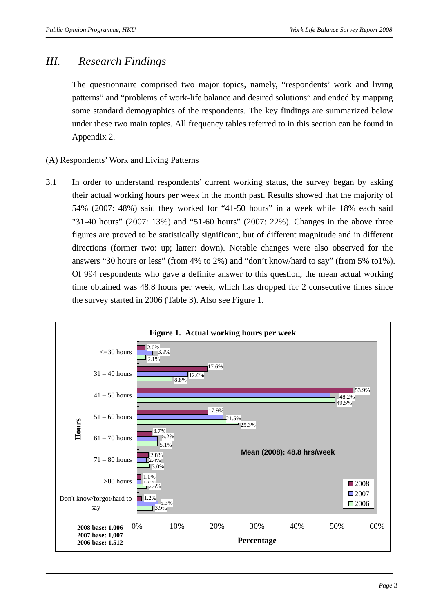# *III. Research Findings*

The questionnaire comprised two major topics, namely, "respondents' work and living patterns" and "problems of work-life balance and desired solutions" and ended by mapping some standard demographics of the respondents. The key findings are summarized below under these two main topics. All frequency tables referred to in this section can be found in Appendix 2.

### (A) Respondents' Work and Living Patterns

3.1 In order to understand respondents' current working status, the survey began by asking their actual working hours per week in the month past. Results showed that the majority of 54% (2007: 48%) said they worked for "41-50 hours" in a week while 18% each said "31-40 hours" (2007: 13%) and "51-60 hours" (2007: 22%). Changes in the above three figures are proved to be statistically significant, but of different magnitude and in different directions (former two: up; latter: down). Notable changes were also observed for the answers "30 hours or less" (from 4% to 2%) and "don't know/hard to say" (from 5% to1%). Of 994 respondents who gave a definite answer to this question, the mean actual working time obtained was 48.8 hours per week, which has dropped for 2 consecutive times since the survey started in 2006 (Table 3). Also see Figure 1.

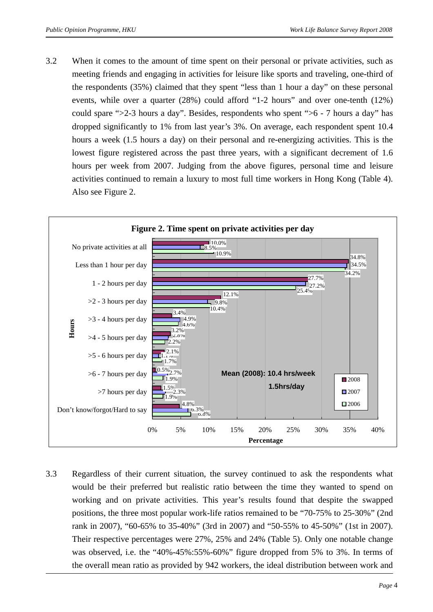3.2 When it comes to the amount of time spent on their personal or private activities, such as meeting friends and engaging in activities for leisure like sports and traveling, one-third of the respondents (35%) claimed that they spent "less than 1 hour a day" on these personal events, while over a quarter (28%) could afford "1-2 hours" and over one-tenth (12%) could spare ">2-3 hours a day". Besides, respondents who spent ">6 - 7 hours a day" has dropped significantly to 1% from last year's 3%. On average, each respondent spent 10.4 hours a week (1.5 hours a day) on their personal and re-energizing activities. This is the lowest figure registered across the past three years, with a significant decrement of 1.6 hours per week from 2007. Judging from the above figures, personal time and leisure activities continued to remain a luxury to most full time workers in Hong Kong (Table 4). Also see Figure 2.



3.3 Regardless of their current situation, the survey continued to ask the respondents what would be their preferred but realistic ratio between the time they wanted to spend on working and on private activities. This year's results found that despite the swapped positions, the three most popular work-life ratios remained to be "70-75% to 25-30%" (2nd rank in 2007), "60-65% to 35-40%" (3rd in 2007) and "50-55% to 45-50%" (1st in 2007). Their respective percentages were 27%, 25% and 24% (Table 5). Only one notable change was observed, i.e. the "40%-45%:55%-60%" figure dropped from 5% to 3%. In terms of the overall mean ratio as provided by 942 workers, the ideal distribution between work and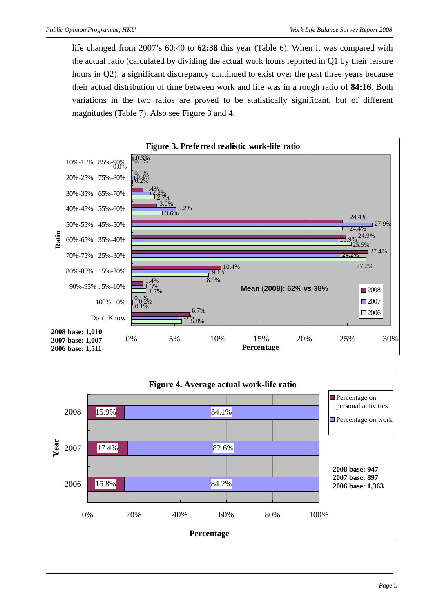life changed from 2007's 60:40 to **62:38** this year (Table 6). When it was compared with the actual ratio (calculated by dividing the actual work hours reported in Q1 by their leisure hours in Q2), a significant discrepancy continued to exist over the past three years because their actual distribution of time between work and life was in a rough ratio of **84:16**. Both variations in the two ratios are proved to be statistically significant, but of different magnitudes (Table 7). Also see Figure 3 and 4.



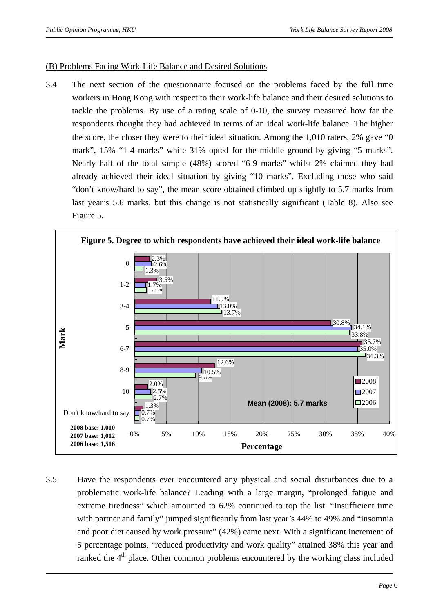### (B) Problems Facing Work-Life Balance and Desired Solutions

3.4 The next section of the questionnaire focused on the problems faced by the full time workers in Hong Kong with respect to their work-life balance and their desired solutions to tackle the problems. By use of a rating scale of 0-10, the survey measured how far the respondents thought they had achieved in terms of an ideal work-life balance. The higher the score, the closer they were to their ideal situation. Among the 1,010 raters, 2% gave "0 mark", 15% "1-4 marks" while 31% opted for the middle ground by giving "5 marks". Nearly half of the total sample (48%) scored "6-9 marks" whilst 2% claimed they had already achieved their ideal situation by giving "10 marks". Excluding those who said "don't know/hard to say", the mean score obtained climbed up slightly to 5.7 marks from last year's 5.6 marks, but this change is not statistically significant (Table 8). Also see Figure 5.



3.5 Have the respondents ever encountered any physical and social disturbances due to a problematic work-life balance? Leading with a large margin, "prolonged fatigue and extreme tiredness" which amounted to 62% continued to top the list. "Insufficient time with partner and family" jumped significantly from last year's 44% to 49% and "insomnia" and poor diet caused by work pressure" (42%) came next. With a significant increment of 5 percentage points, "reduced productivity and work quality" attained 38% this year and ranked the 4<sup>th</sup> place. Other common problems encountered by the working class included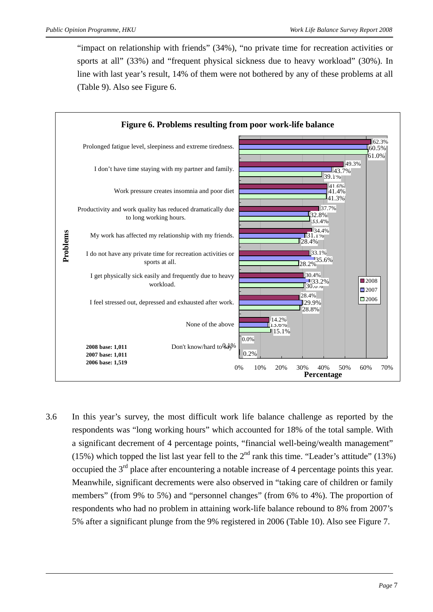"impact on relationship with friends" (34%), "no private time for recreation activities or sports at all" (33%) and "frequent physical sickness due to heavy workload" (30%). In line with last year's result, 14% of them were not bothered by any of these problems at all (Table 9). Also see Figure 6.



3.6 In this year's survey, the most difficult work life balance challenge as reported by the respondents was "long working hours" which accounted for 18% of the total sample. With a significant decrement of 4 percentage points, "financial well-being/wealth management" (15%) which topped the list last year fell to the  $2<sup>nd</sup>$  rank this time. "Leader's attitude" (13%) occupied the  $3<sup>rd</sup>$  place after encountering a notable increase of 4 percentage points this year. Meanwhile, significant decrements were also observed in "taking care of children or family members" (from 9% to 5%) and "personnel changes" (from 6% to 4%). The proportion of respondents who had no problem in attaining work-life balance rebound to 8% from 2007's 5% after a significant plunge from the 9% registered in 2006 (Table 10). Also see Figure 7.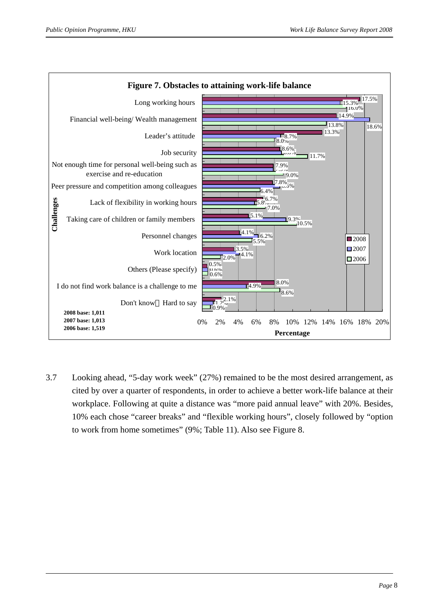

3.7 Looking ahead, "5-day work week" (27%) remained to be the most desired arrangement, as cited by over a quarter of respondents, in order to achieve a better work-life balance at their workplace. Following at quite a distance was "more paid annual leave" with 20%. Besides, 10% each chose "career breaks" and "flexible working hours", closely followed by "option to work from home sometimes" (9%; Table 11). Also see Figure 8.

#### *Page* 8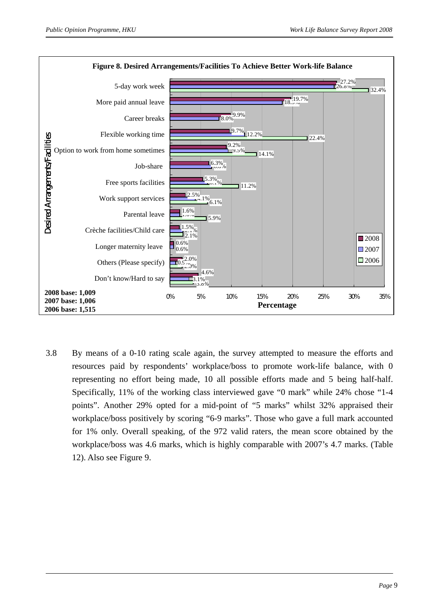

3.8 By means of a 0-10 rating scale again, the survey attempted to measure the efforts and resources paid by respondents' workplace/boss to promote work-life balance, with 0 representing no effort being made, 10 all possible efforts made and 5 being half-half. Specifically, 11% of the working class interviewed gave "0 mark" while 24% chose "1-4 points". Another 29% opted for a mid-point of "5 marks" whilst 32% appraised their workplace/boss positively by scoring "6-9 marks". Those who gave a full mark accounted for 1% only. Overall speaking, of the 972 valid raters, the mean score obtained by the workplace/boss was 4.6 marks, which is highly comparable with 2007's 4.7 marks. (Table 12). Also see Figure 9.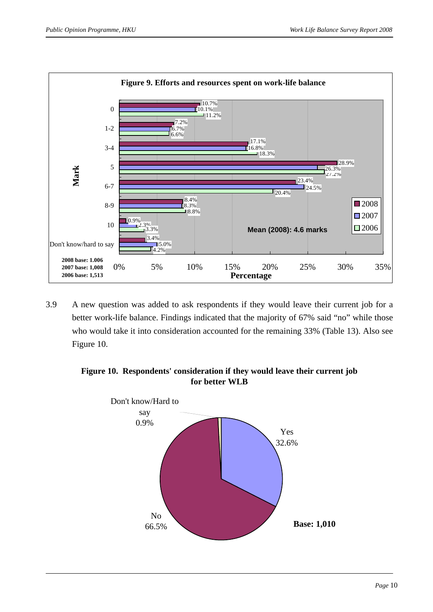

3.9 A new question was added to ask respondents if they would leave their current job for a better work-life balance. Findings indicated that the majority of 67% said "no" while those who would take it into consideration accounted for the remaining 33% (Table 13). Also see Figure 10.

### **Figure 10. Respondents' consideration if they would leave their current job for better WLB**

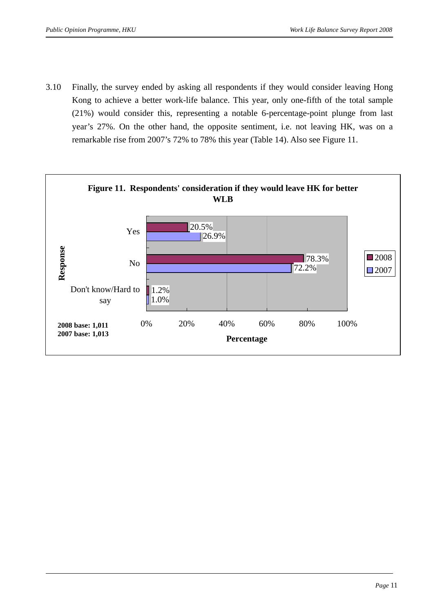3.10 Finally, the survey ended by asking all respondents if they would consider leaving Hong Kong to achieve a better work-life balance. This year, only one-fifth of the total sample (21%) would consider this, representing a notable 6-percentage-point plunge from last year's 27%. On the other hand, the opposite sentiment, i.e. not leaving HK, was on a remarkable rise from 2007's 72% to 78% this year (Table 14). Also see Figure 11.

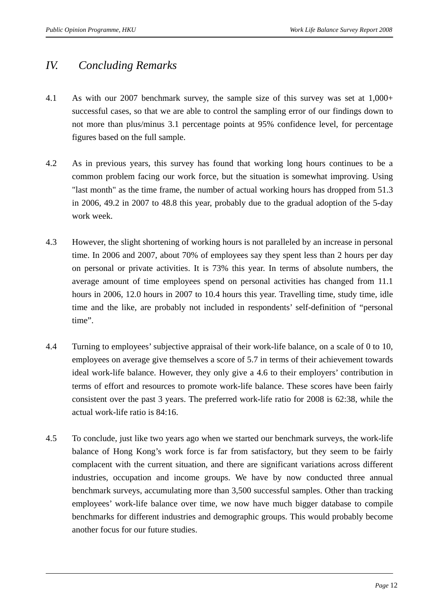# *IV. Concluding Remarks*

- 4.1 As with our 2007 benchmark survey, the sample size of this survey was set at 1,000+ successful cases, so that we are able to control the sampling error of our findings down to not more than plus/minus 3.1 percentage points at 95% confidence level, for percentage figures based on the full sample.
- 4.2 As in previous years, this survey has found that working long hours continues to be a common problem facing our work force, but the situation is somewhat improving. Using "last month" as the time frame, the number of actual working hours has dropped from 51.3 in 2006, 49.2 in 2007 to 48.8 this year, probably due to the gradual adoption of the 5-day work week.
- 4.3 However, the slight shortening of working hours is not paralleled by an increase in personal time. In 2006 and 2007, about 70% of employees say they spent less than 2 hours per day on personal or private activities. It is 73% this year. In terms of absolute numbers, the average amount of time employees spend on personal activities has changed from 11.1 hours in 2006, 12.0 hours in 2007 to 10.4 hours this year. Travelling time, study time, idle time and the like, are probably not included in respondents' self-definition of "personal time".
- 4.4 Turning to employees' subjective appraisal of their work-life balance, on a scale of 0 to 10, employees on average give themselves a score of 5.7 in terms of their achievement towards ideal work-life balance. However, they only give a 4.6 to their employers' contribution in terms of effort and resources to promote work-life balance. These scores have been fairly consistent over the past 3 years. The preferred work-life ratio for 2008 is 62:38, while the actual work-life ratio is 84:16.
- 4.5 To conclude, just like two years ago when we started our benchmark surveys, the work-life balance of Hong Kong's work force is far from satisfactory, but they seem to be fairly complacent with the current situation, and there are significant variations across different industries, occupation and income groups. We have by now conducted three annual benchmark surveys, accumulating more than 3,500 successful samples. Other than tracking employees' work-life balance over time, we now have much bigger database to compile benchmarks for different industries and demographic groups. This would probably become another focus for our future studies.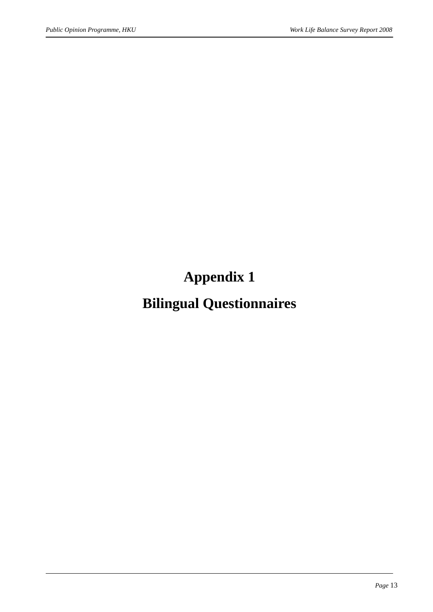**Appendix 1** 

# **Bilingual Questionnaires**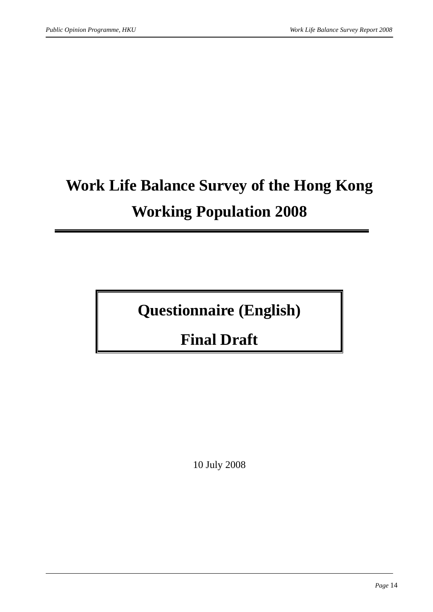# **Work Life Balance Survey of the Hong Kong Working Population 2008**

**Questionnaire (English)** 

**Final Draft** 

10 July 2008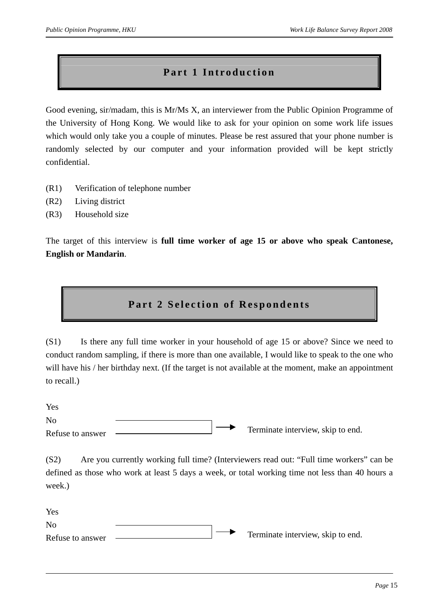### **Part 1 Introduction**

Good evening, sir/madam, this is Mr/Ms X, an interviewer from the Public Opinion Programme of the University of Hong Kong. We would like to ask for your opinion on some work life issues which would only take you a couple of minutes. Please be rest assured that your phone number is randomly selected by our computer and your information provided will be kept strictly confidential.

- (R1) Verification of telephone number
- (R2) Living district
- (R3) Household size

The target of this interview is **full time worker of age 15 or above who speak Cantonese, English or Mandarin**.

### **Part 2 Selection of Respondents**

(S1) Is there any full time worker in your household of age 15 or above? Since we need to conduct random sampling, if there is more than one available, I would like to speak to the one who will have his / her birthday next. (If the target is not available at the moment, make an appointment to recall.)

Yes  $N<sub>0</sub>$ Refuse to answer Terminate interview, skip to end.

(S2) Are you currently working full time? (Interviewers read out: "Full time workers" can be defined as those who work at least 5 days a week, or total working time not less than 40 hours a week.)

Yes  $N<sub>0</sub>$ Refuse to answer  $\sim$  Terminate interview, skip to end.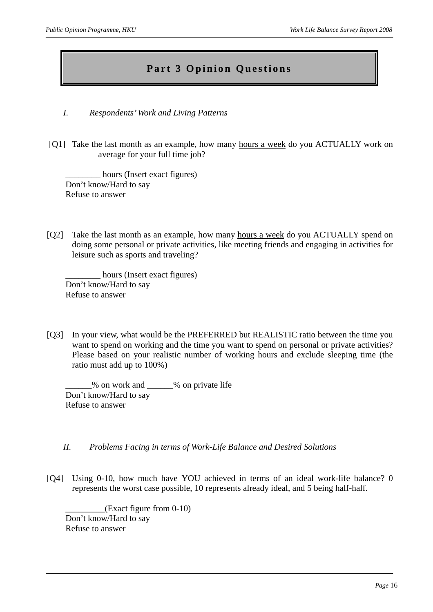### **Part 3 Opinion Questions**

- *I. Respondents' Work and Living Patterns*
- [Q1] Take the last month as an example, how many hours a week do you ACTUALLY work on average for your full time job?

hours (Insert exact figures) Don't know/Hard to say Refuse to answer

[Q2] Take the last month as an example, how many hours a week do you ACTUALLY spend on doing some personal or private activities, like meeting friends and engaging in activities for leisure such as sports and traveling?

hours (Insert exact figures) Don't know/Hard to say Refuse to answer

[Q3] In your view, what would be the PREFERRED but REALISTIC ratio between the time you want to spend on working and the time you want to spend on personal or private activities? Please based on your realistic number of working hours and exclude sleeping time (the ratio must add up to 100%)

\_\_\_\_\_\_% on work and \_\_\_\_\_\_% on private life Don't know/Hard to say Refuse to answer

- *II. Problems Facing in terms of Work-Life Balance and Desired Solutions*
- [Q4] Using 0-10, how much have YOU achieved in terms of an ideal work-life balance? 0 represents the worst case possible, 10 represents already ideal, and 5 being half-half.

 $(Exact figure from 0-10)$ Don't know/Hard to say Refuse to answer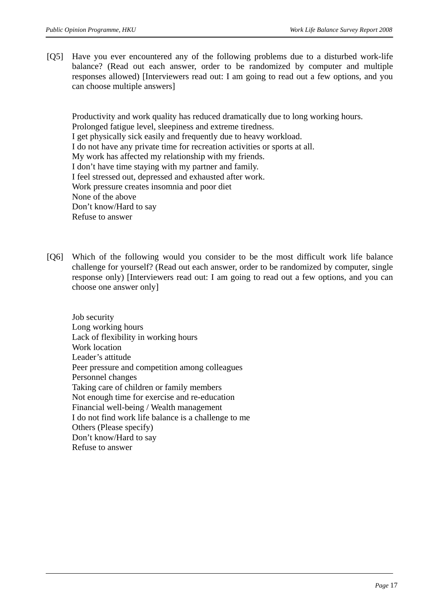[Q5] Have you ever encountered any of the following problems due to a disturbed work-life balance? (Read out each answer, order to be randomized by computer and multiple responses allowed) [Interviewers read out: I am going to read out a few options, and you can choose multiple answers]

Productivity and work quality has reduced dramatically due to long working hours. Prolonged fatigue level, sleepiness and extreme tiredness. I get physically sick easily and frequently due to heavy workload. I do not have any private time for recreation activities or sports at all. My work has affected my relationship with my friends. I don't have time staying with my partner and family. I feel stressed out, depressed and exhausted after work. Work pressure creates insomnia and poor diet None of the above Don't know/Hard to say Refuse to answer

[Q6] Which of the following would you consider to be the most difficult work life balance challenge for yourself? (Read out each answer, order to be randomized by computer, single response only) [Interviewers read out: I am going to read out a few options, and you can choose one answer only]

Job security Long working hours Lack of flexibility in working hours Work location Leader's attitude Peer pressure and competition among colleagues Personnel changes Taking care of children or family members Not enough time for exercise and re-education Financial well-being / Wealth management I do not find work life balance is a challenge to me Others (Please specify) Don't know/Hard to say Refuse to answer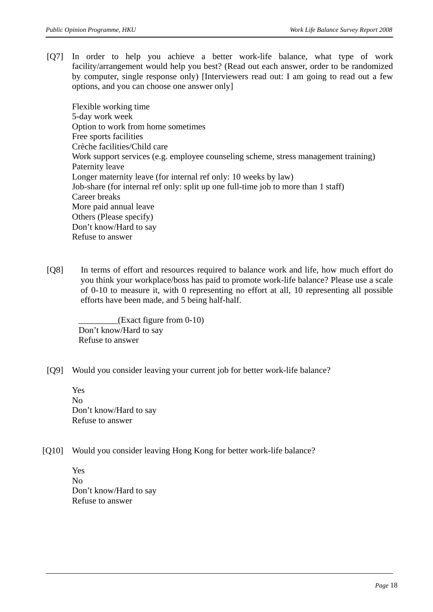[Q7] In order to help you achieve a better work-life balance, what type of work facility/arrangement would help you best? (Read out each answer, order to be randomized by computer, single response only) [Interviewers read out: I am going to read out a few options, and you can choose one answer only]

Flexible working time 5-day work week Option to work from home sometimes Free sports facilities Crèche facilities/Child care Work support services (e.g. employee counseling scheme, stress management training) Paternity leave Longer maternity leave (for internal ref only: 10 weeks by law) Job-share (for internal ref only: split up one full-time job to more than 1 staff) Career breaks More paid annual leave Others (Please specify) Don't know/Hard to say Refuse to answer

[Q8] In terms of effort and resources required to balance work and life, how much effort do you think your workplace/boss has paid to promote work-life balance? Please use a scale of 0-10 to measure it, with 0 representing no effort at all, 10 representing all possible efforts have been made, and 5 being half-half.

\_\_\_\_\_\_\_\_\_(Exact figure from 0-10) Don't know/Hard to say Refuse to answer

[Q9] Would you consider leaving your current job for better work-life balance?

Yes No Don't know/Hard to say Refuse to answer

[Q10] Would you consider leaving Hong Kong for better work-life balance?

Yes No Don't know/Hard to say Refuse to answer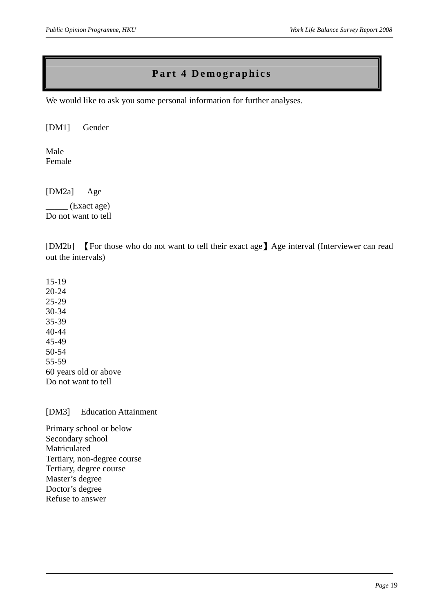# **Part 4 Demographics**

We would like to ask you some personal information for further analyses.

[DM1] Gender

Male Female

[DM2a] Age

 $_{\rm -}$  (Exact age) Do not want to tell

[DM2b] 【For those who do not want to tell their exact age】Age interval (Interviewer can read out the intervals)

15-19 20-24 25-29 30-34 35-39 40-44 45-49 50-54 55-59 60 years old or above Do not want to tell

[DM3] Education Attainment

Primary school or below Secondary school Matriculated Tertiary, non-degree course Tertiary, degree course Master's degree Doctor's degree Refuse to answer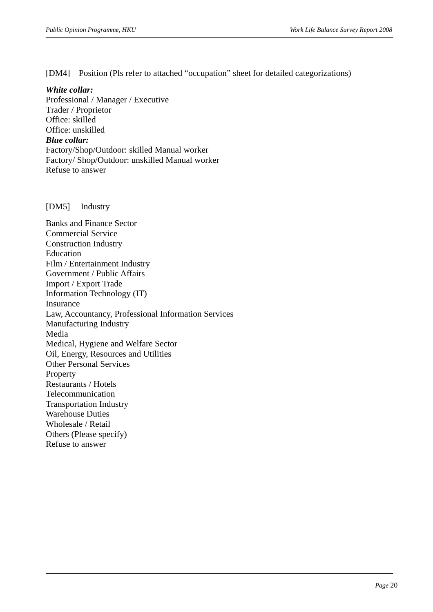[DM4] Position (Pls refer to attached "occupation" sheet for detailed categorizations)

#### *White collar:*

Professional / Manager / Executive Trader / Proprietor Office: skilled Office: unskilled *Blue collar:*  Factory/Shop/Outdoor: skilled Manual worker Factory/ Shop/Outdoor: unskilled Manual worker Refuse to answer

[DM5] Industry

Banks and Finance Sector Commercial Service Construction Industry Education Film / Entertainment Industry Government / Public Affairs Import / Export Trade Information Technology (IT) Insurance Law, Accountancy, Professional Information Services Manufacturing Industry Media Medical, Hygiene and Welfare Sector Oil, Energy, Resources and Utilities Other Personal Services Property Restaurants / Hotels Telecommunication Transportation Industry Warehouse Duties Wholesale / Retail Others (Please specify) Refuse to answer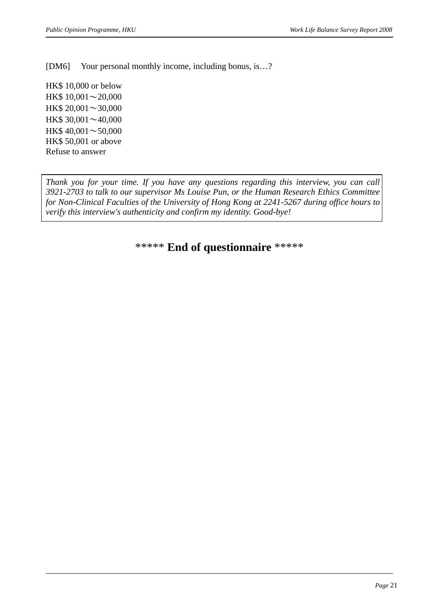[DM6] Your personal monthly income, including bonus, is...?

HK\$ 10,000 or below HK\$ 10,001∼20,000 HK\$ 20,001∼30,000 HK\$ 30,001∼40,000 HK\$ 40,001∼50,000 HK\$ 50,001 or above Refuse to answer

*Thank you for your time. If you have any questions regarding this interview, you can call 3921-2703 to talk to our supervisor Ms Louise Pun, or the Human Research Ethics Committee for Non-Clinical Faculties of the University of Hong Kong at 2241-5267 during office hours to verify this interview's authenticity and confirm my identity. Good-bye!* 

\*\*\*\*\* **End of questionnaire** \*\*\*\*\*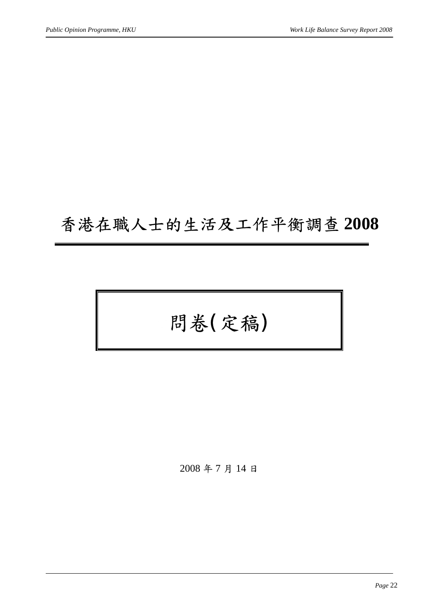# 香港在職人士的生活及工作平衡調查 **2008**

問卷(定稿)

2008 年 7 月 14 日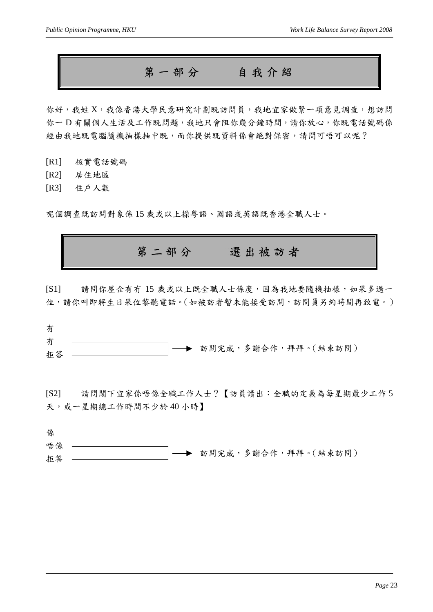第一部分自我介紹

你好,我姓 X,我係香港大學民意研究計劃既訪問員,我地宜家做緊一項意見調查,想訪問 你一D 有關個人生活及工作既問題,我地只會阻你幾分鐘時間,請你放心,你既電話號碼係 經由我地既電腦隨機抽樣抽中既,而你提供既資料係會絕對保密,請問可唔可以呢?

[R1] 核實電話號碼

[R2] 居住地區

[R3] 住戶人數

呢個調查既訪問對象係 15 歲或以上操粵語、國語或英語既香港全職人士。

第二部分選出被訪者

[S1] 請問你屋企有冇 15 歲或以上既全職人士係度,因為我地要隨機抽樣,如果多過一 位,請你叫即將生日果位黎聽電話。(如被訪者暫未能接受訪問,訪問員另約時間再致電。)

| 有  |  |                       |
|----|--|-----------------------|
| 冇  |  |                       |
| 拒答 |  | → 訪問完成,多謝合作,拜拜。(結束訪問) |

[S2] 請問閣下宜家係唔係全職工作人士?【訪員讀出:全職的定義為每星期最少工作 5 天,或一星期總工作時間不少於40小時】

係 唔係 拒答 訪問完成,多謝合作,拜拜。(結束訪問)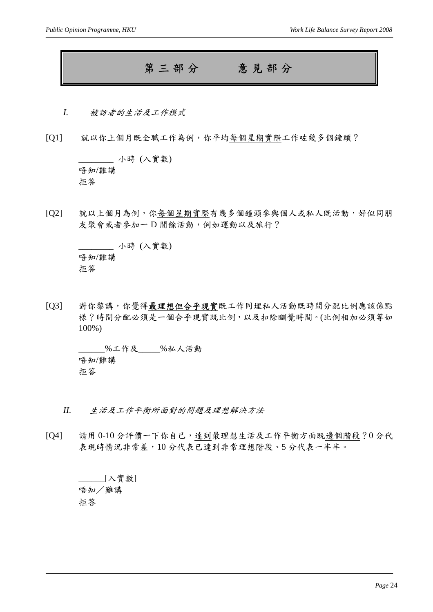# 第三部分意見部分

- *I.* 被訪者的生活及工作模式
- [Q1] 就以你上個月既全職工作為例,你平均每個星期實際工作咗幾多個鐘頭?

\_\_\_\_\_\_\_\_ 小時 (入實數) 唔知/難講 拒答

[Q2] 就以上個月為例,你每個星期實際有幾多個鐘頭參與個人或私人既活動,好似同朋 友聚會或者參加一D 閒餘活動, 例如運動以及旅行?

\_\_\_\_\_\_\_\_ 小時 (入實數) 唔知/難講 拒答

[Q3] 對你黎講,你覺得最理想但合乎現實既工作同埋私人活動既時間分配比例應該係點 樣?時間分配必須是一個合乎現實既比例,以及扣除瞓覺時間。(比例相加必須等如 100%)

\_\_\_\_\_\_%工作及\_\_\_\_\_%私人活動 唔知/難講 拒答

- *II.* 生活及工作平衡所面對的問題及理想解決方法
- [Q4] 請用 0-10 分評價一下你自己,達到最理想生活及工作平衡方面既邊個階段?0 分代 表現時情況非常差,10分代表已達到非常理想階段、5分代表一半半。

\_\_\_\_\_\_[入實數] 唔知/難講 拒答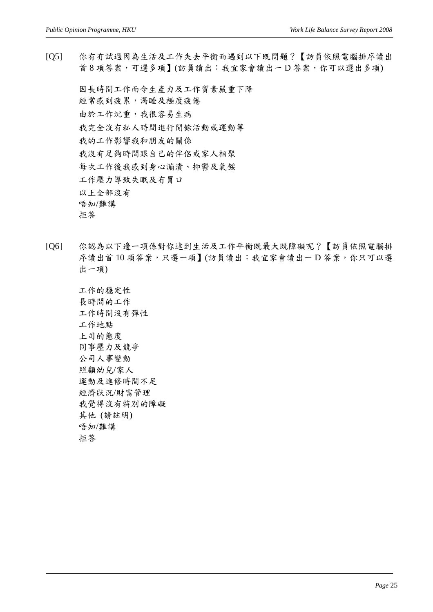[Q5] 你有冇試過因為生活及工作失去平衡而遇到以下既問題?【訪員依照電腦排序讀出 首 8 項答案,可選多項】(訪員讀出:我宜家會讀出一 D 答案,你可以選出多項)

因長時間工作而令生產力及工作質素嚴重下降 經常感到疲累,渴睡及極度疲倦 由於工作沉重,我很容易生病 我完全沒有私人時間進行閒餘活動或運動等 我的工作影響我和朋友的關係 我沒有足夠時間跟自己的伴侶或家人相聚 每次工作後我感到身心漰潰、抑鬱及氣餒 工作壓力導致失眠及冇胃口 以上全部沒有 唔知/難講 拒答

- [Q6] 你認為以下邊一項係對你達到生活及工作平衡既最大既障礙呢?【訪員依照電腦排 序讀出首10 項答案,只選一項】(訪員讀出:我宜家會讀出一D 答案,你只可以選 出一項)
	- 工作的穩定性 長時間的工作 工作時間沒有彈性 工作地點 上司的態度 同事壓力及競爭 公司人事變動 照顧幼兒/家人 運動及進修時間不足 經濟狀況/財富管理 我覺得沒有特別的障礙 其他 (請註明) 唔知/難講 拒答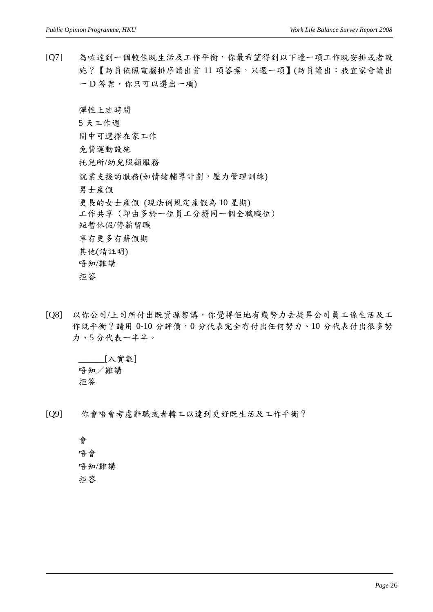[Q7] 為咗達到一個較佳既生活及工作平衡,你最希望得到以下邊一項工作既安排或者設 施?【訪員依照電腦排序讀出首 11 項答案,只選一項】(訪員讀出:我宜家會讀出 一 D 答案, 你只可以選出一項)

彈性上班時間

5 天工作週

間中可選擇在家工作

免費運動設施

托兒所/幼兒照顧服務

就業支援的服務(如情緒輔導計劃,壓力管理訓練)

男士產假

更長的女士產假 (現法例規定產假為 10 星期)

工作共享 (即由多於一位員工分擔同一個全職職位) 短暫休假/停薪留職

享有更多有薪假期 其他(請註明)

唔知/難講

拒答

[Q8] 以你公司/上司所付出既資源黎講,你覺得佢地有幾努力去提昇公司員工係生活及工 作既平衡?請用 0-10 分評價,0分代表完全冇付出任何努力、10分代表付出很多努 力、5 分代表一半半。

\_\_\_\_\_\_[入實數] 唔知/難講 拒答

[Q9] 你會唔會考慮辭職或者轉工以達到更好既生活及工作平衡?

會 唔會 唔知/難講 拒答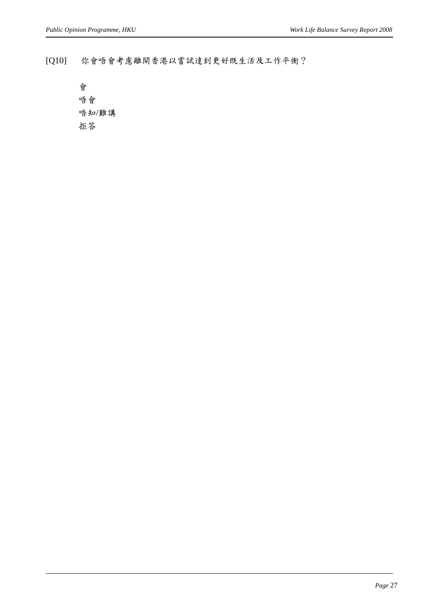[Q10] 你會唔會考慮離開香港以嘗試達到更好既生活及工作平衡?

會 唔會 唔知/難講 拒答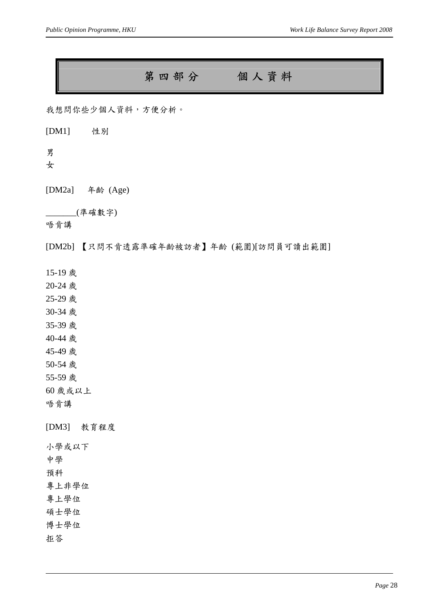# 第四部分個人資料

我想問你些少個人資料,方便分析。

[DM1] 性別

男

女

[DM2a] 年齡 (Age)

\_\_\_\_\_\_\_(準確數字)

唔肯講

[DM2b] 【只問不肯透露準確年齡被訪者】年齡 (範圍)[訪問員可讀出範圍]

15-19 歲

20-24 歲

25-29 歲

30-34 歲

35-39 歲

40-44 歲

45-49 歲

50-54 歲

55-59 歲

60 歲或以上

唔肯講

[DM3] 教育程度

小學或以下

中學

預科

專上非學位

專上學位

碩士學位

博士學位

拒答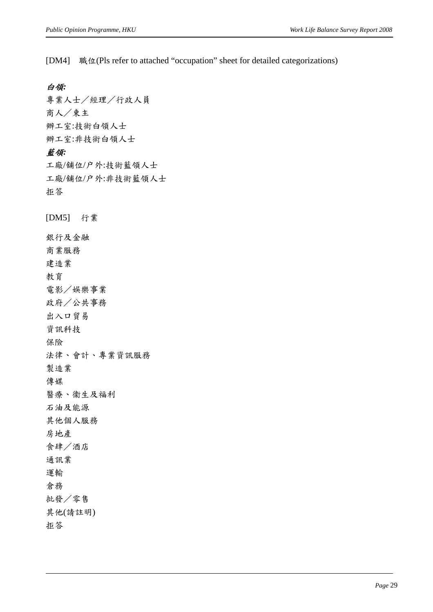[DM4] 職位(Pls refer to attached "occupation" sheet for detailed categorizations)

#### 白領*:*

專業人士/經理/行政人員 商人/東主 辦工室:技術白領人士 辦工室:非技術白領人士 藍領*:*  工廠/舖位/户外:技術藍領人士 工廠/舖位/户外:非技術藍領人士 拒答 [DM5] 行業

銀行及金融 商業服務 建造業 教育 電影/娛樂事業 政府/公共事務 出入口貿易 資訊科技 保險 法律、會計、專業資訊服務 製造業 傳媒 醫療、衞生及福利 石油及能源 其他個人服務 房地產 食肆/酒店 通訊業 運輸 倉務 批發/零售 其他(請註明) 拒答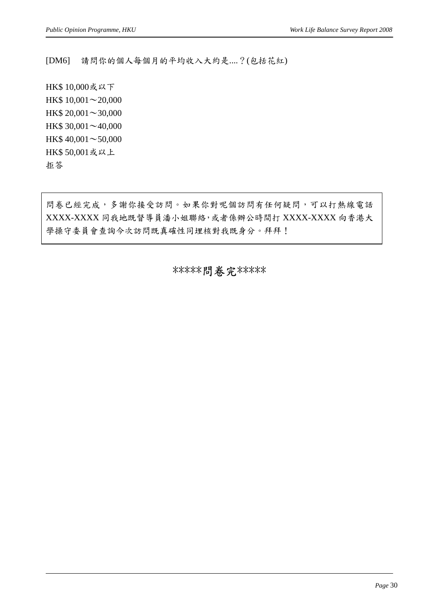[DM6] 請問你的個人每個月的平均收入大約是....?(包括花紅)

HK\$ 10,000或以下 HK\$ 10,001∼20,000 HK\$ 20,001∼30,000 HK\$ 30,001∼40,000 HK\$ 40,001∼50,000 HK\$ 50,001或以上 拒答

問卷已經完成,多謝你接受訪問。如果你對呢個訪問有任何疑問,可以打熱線電話 XXXX-XXXX 同我地既督導員潘小姐聯絡,或者係辦公時間打 XXXX-XXXX 向香港大 學操守委員會查詢今次訪問既真確性同埋核對我既身分。拜拜!

\*\*\*\*\*問卷完 \*\*\*\*\*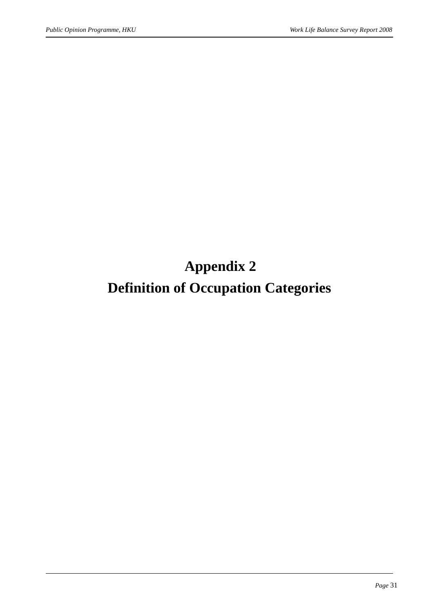# **Appendix 2**

# **Definition of Occupation Categories**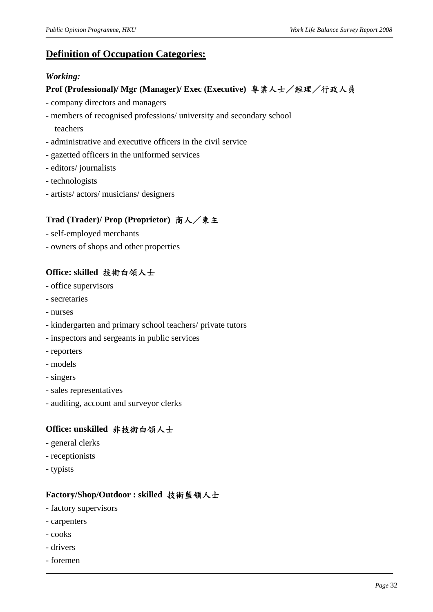### **Definition of Occupation Categories:**

### *Working:*

### **Prof (Professional)/ Mgr (Manager)/ Exec (Executive)** 專業人士/經理/行政人員

- company directors and managers
- members of recognised professions/ university and secondary school teachers
- administrative and executive officers in the civil service
- gazetted officers in the uniformed services
- editors/ journalists
- technologists
- artists/ actors/ musicians/ designers

### **Trad (Trader)/ Prop (Proprietor)** 商人/東主

- self-employed merchants
- owners of shops and other properties

### **Office: skilled** 技術白領人士

- office supervisors
- secretaries
- nurses
- kindergarten and primary school teachers/ private tutors
- inspectors and sergeants in public services
- reporters
- models
- singers
- sales representatives
- auditing, account and surveyor clerks

### **Office: unskilled** 非技術白領人士

- general clerks
- receptionists
- typists

### **Factory/Shop/Outdoor : skilled** 技術藍領人士

- factory supervisors
- carpenters
- cooks
- drivers
- foremen